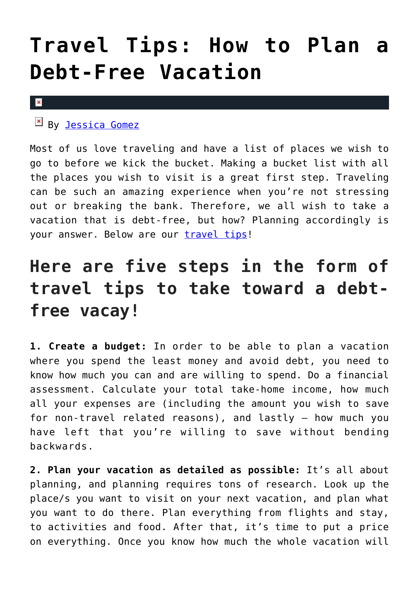## **[Travel Tips: How to Plan a](https://cupidspulse.com/126501/travel-tips-plan-debt-free-vacation/) [Debt-Free Vacation](https://cupidspulse.com/126501/travel-tips-plan-debt-free-vacation/)**

## $\mathbf{x}$

 $\mathbb{E}$  By [Jessica Gomez](http://cupidspulse.com/122405/jessica-gomez/)

Most of us love traveling and have a list of places we wish to go to before we kick the bucket. Making a bucket list with all the places you wish to visit is a great first step. Traveling can be such an amazing experience when you're not stressing out or breaking the bank. Therefore, we all wish to take a vacation that is debt-free, but how? Planning accordingly is your answer. Below are our [travel tips](http://cupidspulse.com/travel/)!

## **Here are five steps in the form of travel tips to take toward a debtfree vacay!**

**1. Create a budget:** In order to be able to plan a vacation where you spend the least money and avoid debt, you need to know how much you can and are willing to spend. Do a financial assessment. Calculate your total take-home income, how much all your expenses are (including the amount you wish to save for non-travel related reasons), and lastly — how much you have left that you're willing to save without bending backwards.

**2. Plan your vacation as detailed as possible:** It's all about planning, and planning requires tons of research. Look up the place/s you want to visit on your next vacation, and plan what you want to do there. Plan everything from flights and stay, to activities and food. After that, it's time to put a price on everything. Once you know how much the whole vacation will